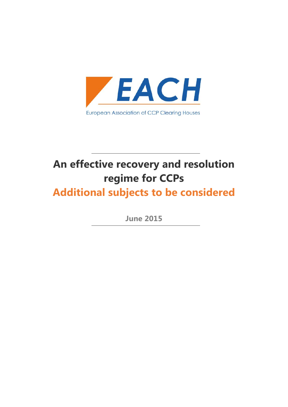

# **An effective recovery and resolution regime for CCPs**

**Additional subjects to be considered**

**June 2015**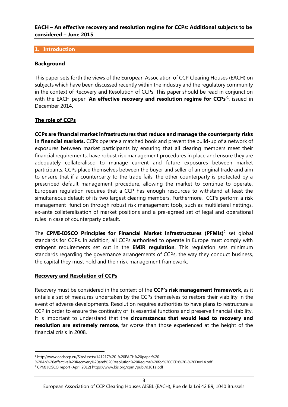## **1. Introduction**

# **Background**

This paper sets forth the views of the European Association of CCP Clearing Houses (EACH) on subjects which have been discussed recently within the industry and the regulatory community in the context of Recovery and Resolution of CCPs. This paper should be read in conjunction with the EACH paper '**An effective recovery and resolution regime for CCPs**'<sup>1</sup> , issued in December 2014.

# **The role of CCPs**

**CCPs are financial market infrastructures that reduce and manage the counterparty risks in financial markets.** CCPs operate a matched book and prevent the build-up of a network of exposures between market participants by ensuring that all clearing members meet their financial requirements, have robust risk management procedures in place and ensure they are adequately collateralised to manage current and future exposures between market participants. CCPs place themselves between the buyer and seller of an original trade and aim to ensure that if a counterparty to the trade fails, the other counterparty is protected by a prescribed default management procedure, allowing the market to continue to operate. European regulation requires that a CCP has enough resources to withstand at least the simultaneous default of its two largest clearing members. Furthermore, CCPs perform a risk management function through robust risk management tools, such as multilateral nettings, ex-ante collateralisation of market positions and a pre-agreed set of legal and operational rules in case of counterparty default.

The **CPMI-IOSCO Principles for Financial Market Infrastructures (PFMIs)**<sup>2</sup> set global standards for CCPs. In addition, all CCPs authorised to operate in Europe must comply with stringent requirements set out in the **EMIR regulation**. This regulation sets minimum standards regarding the governance arrangements of CCPs, the way they conduct business, the capital they must hold and their risk management framework.

# **Recovery and Resolution of CCPs**

Recovery must be considered in the context of the **CCP's risk management framework**, as it entails a set of measures undertaken by the CCPs themselves to restore their viability in the event of adverse developments. Resolution requires authorities to have plans to restructure a CCP in order to ensure the continuity of its essential functions and preserve financial stability. It is important to understand that the **circumstances that would lead to recovery and resolution are extremely remote**, far worse than those experienced at the height of the financial crisis in 2008.

<sup>1</sup> http://www.eachccp.eu/SiteAssets/141217%20-%20EACH%20paper%20-

<sup>%20</sup>An%20effective%20Recovery%20and%20Resolution%20Regime%20for%20CCPs%20-%20Dec14.pdf

<sup>2</sup> CPMI IOSCO report (April 2012) https://www.bis.org/cpmi/publ/d101a.pdf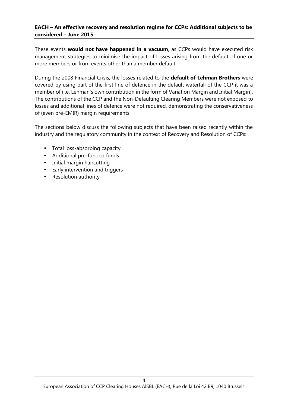These events **would not have happened in a vacuum**, as CCPs would have executed risk management strategies to minimise the impact of losses arising from the default of one or more members or from events other than a member default.

During the 2008 Financial Crisis, the losses related to the **default of Lehman Brothers** were covered by using part of the first line of defence in the default waterfall of the CCP it was a member of (i.e. Lehman's own contribution in the form of Variation Margin and Initial Margin). The contributions of the CCP and the Non-Defaulting Clearing Members were not exposed to losses and additional lines of defence were not required, demonstrating the conservativeness of (even pre-EMIR) margin requirements.

The sections below discuss the following subjects that have been raised recently within the industry and the regulatory community in the context of Recovery and Resolution of CCPs:

- Total loss-absorbing capacity
- Additional pre-funded funds
- Initial margin haircutting
- Early intervention and triggers
- Resolution authority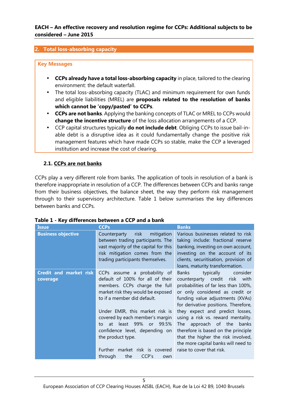## **2. Total loss-absorbing capacity**

## **Key Messages**

- **CCPs already have a total loss-absorbing capacity** in place, tailored to the clearing environment: the default waterfall.
- The total loss-absorbing capacity (TLAC) and minimum requirement for own funds and eligible liabilities (MREL) are **proposals related to the resolution of banks which cannot be 'copy/pasted' to CCPs**.
- **CCPs are not banks**. Applying the banking concepts of TLAC or MREL to CCPs would **change the incentive structure** of the loss allocation arrangements of a CCP.
- CCP capital structures typically **do not include debt**. Obliging CCPs to issue bail-in able debt is a disruptive idea as it could fundamentally change the positive risk management features which have made CCPs so stable, make the CCP a leveraged institution and increase the cost of clearing.

# **2.1. CCPs are not banks**

CCPs play a very different role from banks. The application of tools in resolution of a bank is therefore inappropriate in resolution of a CCP. The differences between CCPs and banks range from their business objectives, the balance sheet, the way they perform risk management through to their supervisory architecture. Table 1 below summarises the key differences between banks and CCPs.

| <b>Issue</b>                              | <b>CCPs</b>                                                                                                                                                                                                                                                                                                                                                                                              | <b>Banks</b>                                                                                                                                                                                                                                                                                                                                                                                                                                                                               |
|-------------------------------------------|----------------------------------------------------------------------------------------------------------------------------------------------------------------------------------------------------------------------------------------------------------------------------------------------------------------------------------------------------------------------------------------------------------|--------------------------------------------------------------------------------------------------------------------------------------------------------------------------------------------------------------------------------------------------------------------------------------------------------------------------------------------------------------------------------------------------------------------------------------------------------------------------------------------|
| <b>Business objective</b>                 | risk<br>mitigation<br>Counterparty<br>between trading participants. The<br>vast majority of the capital for this<br>risk mitigation comes from the<br>trading participants themselves.                                                                                                                                                                                                                   | Various businesses related to risk<br>taking include: fractional reserve<br>banking, investing on own account,<br>investing on the account of its<br>clients, securitisation, provision of<br>loans, maturity transformation.                                                                                                                                                                                                                                                              |
| <b>Credit and market risk</b><br>coverage | CCPs assume a probability of<br>default of 100% for all of their<br>members. CCPs charge the full<br>market risk they would be exposed<br>to if a member did default.<br>Under EMIR, this market risk is<br>covered by each member's margin<br>at least 99% or 99.5%<br>to<br>confidence level, depending on<br>the product type.<br>market risk is covered<br>Further<br>the<br>CCP's<br>through<br>own | <b>Banks</b><br>typically<br>consider<br>counterparty credit risk with<br>probabilities of far less than 100%,<br>or only considered as credit or<br>funding value adjustments (XVAs)<br>for derivative positions. Therefore,<br>they expect and predict losses,<br>using a risk vs. reward mentality.<br>approach of the<br>banks<br>The<br>therefore is based on the principle<br>that the higher the risk involved,<br>the more capital banks will need to<br>raise to cover that risk. |

# **Table 1 - Key differences between a CCP and a bank**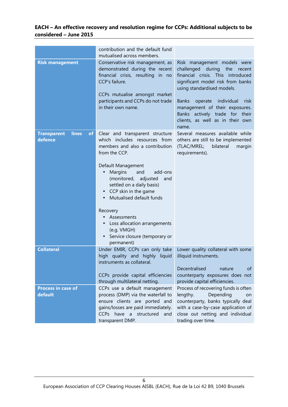|                                                     | contribution and the default fund                                                                                                                                                                                                                                                                                                                                                                                                                                       |                                                                                                                                                                                                                                                                                                                                             |
|-----------------------------------------------------|-------------------------------------------------------------------------------------------------------------------------------------------------------------------------------------------------------------------------------------------------------------------------------------------------------------------------------------------------------------------------------------------------------------------------------------------------------------------------|---------------------------------------------------------------------------------------------------------------------------------------------------------------------------------------------------------------------------------------------------------------------------------------------------------------------------------------------|
|                                                     | mutualised across members.                                                                                                                                                                                                                                                                                                                                                                                                                                              |                                                                                                                                                                                                                                                                                                                                             |
| <b>Risk management</b>                              | Conservative risk management, as<br>demonstrated during the recent<br>financial crisis, resulting in no<br>CCP's failure.<br>CCPs mutualise amongst market<br>participants and CCPs do not trade<br>in their own name.                                                                                                                                                                                                                                                  | Risk management models were<br>challenged during<br>the<br>recent<br>financial crisis. This introduced<br>significant model risk from banks<br>using standardised models.<br>individual<br><b>Banks</b><br>operate<br>risk<br>management of their exposures.<br>Banks actively trade for their<br>clients, as well as in their own<br>name. |
| lines<br><b>Transparent</b><br><b>of</b><br>defence | Clear and transparent structure<br>which includes resources from<br>members and also a contribution<br>from the CCP.<br>Default Management<br>Margins<br>add-ons<br>and<br>$\bullet$<br>(monitored,<br>adjusted<br>and<br>settled on a daily basis)<br>CCP skin in the game<br>$\bullet$<br>Mutualised default funds<br>Recovery<br>Assessments<br>Loss allocation arrangements<br>$\bullet$<br>(e.g. VMGH)<br>Service closure (temporary or<br>$\bullet$<br>permanent) | Several measures available while<br>others are still to be implemented<br>bilateral<br>(TLAC/MREL;<br>margin<br>requirements).                                                                                                                                                                                                              |
| <b>Collateral</b>                                   | Under EMIR, CCPs can only take<br>high quality and highly liquid<br>instruments as collateral.<br>CCPs provide capital efficiencies                                                                                                                                                                                                                                                                                                                                     | Lower quality collateral with some<br>illiquid instruments.<br>Decentralised<br>of<br>nature<br>counterparty exposures does not                                                                                                                                                                                                             |
| Process in case of<br>default                       | through multilateral netting.<br>CCPs use a default management<br>process (DMP) via the waterfall to<br>ensure clients are ported and<br>gains/losses are paid immediately.<br>CCPs have<br>a structured<br>and<br>transparent DMP.                                                                                                                                                                                                                                     | provide capital efficiencies.<br>Process of recovering funds is often<br>lengthy.<br>Depending<br>on<br>counterparty, banks typically deal<br>with a case-by-case application of<br>close out netting and individual<br>trading over time.                                                                                                  |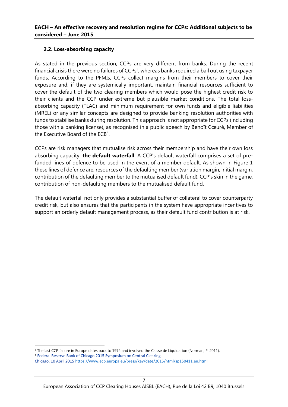# **2.2. Loss-absorbing capacity**

As stated in the previous section, CCPs are very different from banks. During the recent financial crisis there were no failures of CCPs<sup>3</sup>, whereas banks required a bail out using taxpayer funds. According to the PFMIs, CCPs collect margins from their members to cover their exposure and, if they are systemically important, maintain financial resources sufficient to cover the default of the two clearing members which would pose the highest credit risk to their clients and the CCP under extreme but plausible market conditions. The total loss absorbing capacity (TLAC) and minimum requirement for own funds and eligible liabilities (MREL) or any similar concepts are designed to provide banking resolution authorities with funds to stabilise banks during resolution. This approach is not appropriate for CCPs (including those with a banking license), as recognised in a public speech by Benoît Cœuré, Member of the Executive Board of the ECB<sup>4</sup>.

CCPs are risk managers that mutualise risk across their membership and have their own loss absorbing capacity: **the default waterfall**. A CCP's default waterfall comprises a set of prefunded lines of defence to be used in the event of a member default. As shown in Figure 1 these lines of defence are: resources of the defaulting member (variation margin, initial margin, contribution of the defaulting member to the mutualised default fund), CCP's skin in the game, contribution of non-defaulting members to the mutualised default fund.

The default waterfall not only provides a substantial buffer of collateral to cover counterparty credit risk, but also ensures that the participants in the system have appropriate incentives to support an orderly default management process, as their default fund contribution is at risk.

<sup>&</sup>lt;sup>3</sup> The last CCP failure in Europe dates back to 1974 and involved the Caisse de Liquidation (Norman, P. 2011). <sup>4</sup> Federal Reserve Bank of Chicago 2015 Symposium on Central Clearing, Chicago, 10 April 2015 https://www.ecb.europa.eu/press/key/date/2015/html/sp150411.en.html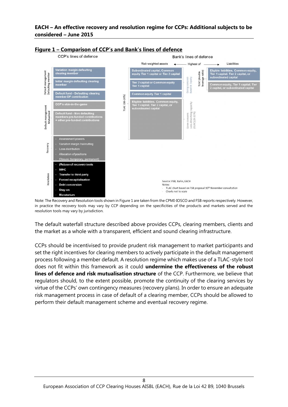

## **Figure 1 – Comparison of CCP's and Bank's lines of defence**

Note: The Recovery and Resolution tools shown in Figure 1 are taken from the CPMI-IOSCO and FSB reports respectively. However, in practice the recovery tools may vary by CCP depending on the specificities of the products and markets served and the resolution tools may vary by jurisdiction.

The default waterfall structure described above provides CCPs, clearing members, clients and the market as a whole with a transparent, efficient and sound clearing infrastructure.

CCPs should be incentivised to provide prudent risk management to market participants and set the right incentives for clearing members to actively participate in the default management process following a member default. A resolution regime which makes use of a TLAC-style tool does not fit within this framework as it could **undermine the effectiveness of the robust lines of defence and risk mutualisation structure** of the CCP. Furthermore, we believe that regulators should, to the extent possible, promote the continuity of the clearing services by virtue of the CCPs' own contingency measures (recovery plans). In order to ensure an adequate risk management process in case of default of a clearing member, CCPs should be allowed to perform their default management scheme and eventual recovery regime.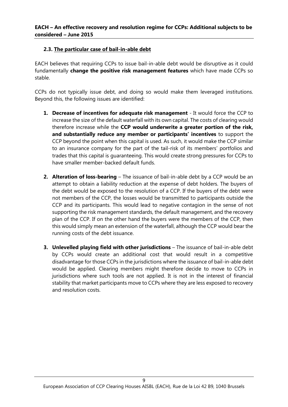# **2.3. The particular case of bail-in-able debt**

EACH believes that requiring CCPs to issue bail-in-able debt would be disruptive as it could fundamentally **change the positive risk management features** which have made CCPs so stable.

CCPs do not typically issue debt, and doing so would make them leveraged institutions. Beyond this, the following issues are identified:

- **1. Decrease of incentives for adequate risk management** It would force the CCP to increase the size of the default waterfall with its own capital. The costs of clearing would therefore increase while the **CCP would underwrite a greater portion of the risk, and substantially reduce any member or participants' incentives** to support the CCP beyond the point when this capital is used. As such, it would make the CCP similar to an insurance company for the part of the tail-risk of its members' portfolios and trades that this capital is guaranteeing. This would create strong pressures for CCPs to have smaller member-backed default funds.
- **2. Alteration of loss-bearing** The issuance of bail-in-able debt by a CCP would be an attempt to obtain a liability reduction at the expense of debt holders. The buyers of the debt would be exposed to the resolution of a CCP. If the buyers of the debt were not members of the CCP, the losses would be transmitted to participants outside the CCP and its participants. This would lead to negative contagion in the sense of not supporting the risk management standards, the default management, and the recovery plan of the CCP. If on the other hand the buyers were the members of the CCP, then this would simply mean an extension of the waterfall, although the CCP would bear the running costs of the debt issuance.
- **3. Unlevelled playing field with other jurisdictions** The issuance of bail-in-able debt by CCPs would create an additional cost that would result in a competitive disadvantage for those CCPs in the jurisdictions where the issuance of bail-in-able debt would be applied. Clearing members might therefore decide to move to CCPs in jurisdictions where such tools are not applied. It is not in the interest of financial stability that market participants move to CCPs where they are less exposed to recovery and resolution costs.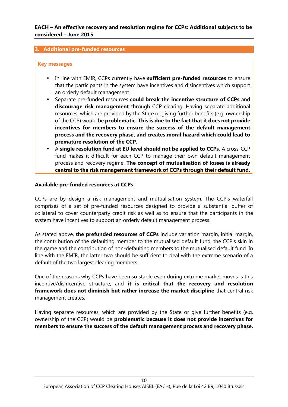## **3. Additional pre-funded resources**

## **Key messages**

- In line with EMIR, CCPs currently have **sufficient pre-funded resources** to ensure that the participants in the system have incentives and disincentives which support an orderly default management.
- Separate pre-funded resources **could break the incentive structure of CCPs** and **discourage risk management** through CCP clearing. Having separate additional resources, which are provided by the State or giving further benefits (e.g. ownership of the CCP) would be **problematic. This is due to the fact that it does not provide incentives for members to ensure the success of the default management process and the recovery phase, and creates moral hazard which could lead to premature resolution of the CCP.**
- A **single resolution fund at EU level should not be applied to CCPs.** A cross-CCP fund makes it difficult for each CCP to manage their own default management process and recovery regime. **The concept of mutualisation of losses is already central to the risk management framework of CCPs through their default fund.**

## **Available pre-funded resources at CCPs**

CCPs are by design a risk management and mutualisation system. The CCP's waterfall comprises of a set of pre-funded resources designed to provide a substantial buffer of collateral to cover counterparty credit risk as well as to ensure that the participants in the system have incentives to support an orderly default management process.

As stated above, **the prefunded resources of CCPs** include variation margin, initial margin, the contribution of the defaulting member to the mutualised default fund, the CCP's skin in the game and the contribution of non-defaulting members to the mutualised default fund. In line with the EMIR, the latter two should be sufficient to deal with the extreme scenario of a default of the two largest clearing members.

One of the reasons why CCPs have been so stable even during extreme market moves is this incentive/disincentive structure, and **it is critical that the recovery and resolution framework does not diminish but rather increase the market discipline** that central risk management creates.

Having separate resources, which are provided by the State or give further benefits (e.g. ownership of the CCP) would be **problematic because it does not provide incentives for members to ensure the success of the default management process and recovery phase.**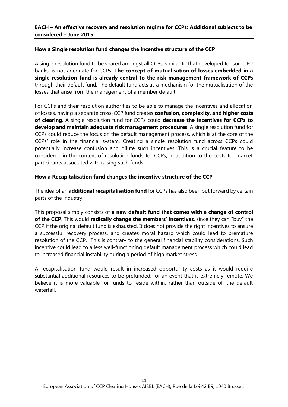# **How a Single resolution fund changes the incentive structure of the CCP**

A single resolution fund to be shared amongst all CCPs, similar to that developed for some EU banks, is not adequate for CCPs. **The concept of mutualisation of losses embedded in a single resolution fund is already central to the risk management framework of CCPs** through their default fund. The default fund acts as a mechanism for the mutualisation of the losses that arise from the management of a member default.

For CCPs and their resolution authorities to be able to manage the incentives and allocation of losses, having a separate cross-CCP fund creates **confusion, complexity, and higher costs of clearing**. A single resolution fund for CCPs could **decrease the incentives for CCPs to develop and maintain adequate risk management procedures**. A single resolution fund for CCPs could reduce the focus on the default management process, which is at the core of the CCPs' role in the financial system. Creating a single resolution fund across CCPs could potentially increase confusion and dilute such incentives. This is a crucial feature to be considered in the context of resolution funds for CCPs, in addition to the costs for market participants associated with raising such funds.

# **How a Recapitalisation fund changes the incentive structure of the CCP**

The idea of an **additional recapitalisation fund** for CCPs has also been put forward by certain parts of the industry.

This proposal simply consists of **a new default fund that comes with a change of control of the CCP**. This would **radically change the members' incentives**, since they can "buy" the CCP if the original default fund is exhausted. It does not provide the right incentives to ensure a successful recovery process, and creates moral hazard which could lead to premature resolution of the CCP. This is contrary to the general financial stability considerations. Such incentive could lead to a less well-functioning default management process which could lead to increased financial instability during a period of high market stress.

A recapitalisation fund would result in increased opportunity costs as it would require substantial additional resources to be prefunded, for an event that is extremely remote. We believe it is more valuable for funds to reside within, rather than outside of, the default waterfall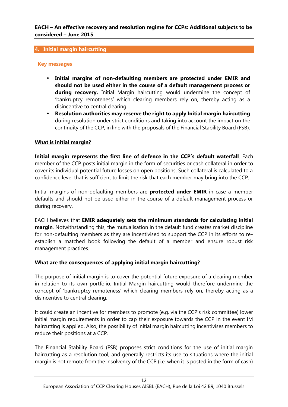# **4. Initial margin haircutting**

## **Key messages**

- **Initial margins of non-defaulting members are protected under EMIR and should not be used either in the course of a default management process or** during recovery. Initial Margin haircutting would undermine the concept of 'bankruptcy remoteness' which clearing members rely on, thereby acting as a disincentive to central clearing.
- **Resolution authorities may reserve the right to apply Initial margin haircutting** during resolution under strict conditions and taking into account the impact on the continuity of the CCP, in line with the proposals of the Financial Stability Board (FSB).

## **What is initial margin?**

**Initial margin represents the first line of defence in the CCP's default waterfall**. Each member of the CCP posts initial margin in the form of securities or cash collateral in order to cover its individual potential future losses on open positions. Such collateral is calculated to a confidence level that is sufficient to limit the risk that each member may bring into the CCP.

Initial margins of non-defaulting members are **protected under EMIR** in case a member defaults and should not be used either in the course of a default management process or during recovery.

EACH believes that **EMIR adequately sets the minimum standards for calculating initial margin**. Notwithstanding this, the mutualisation in the default fund creates market discipline for non-defaulting members as they are incentivised to support the CCP in its efforts to re establish a matched book following the default of a member and ensure robust risk management practices.

# **What are the consequences of applying initial margin haircutting?**

The purpose of initial margin is to cover the potential future exposure of a clearing member in relation to its own portfolio. Initial Margin haircutting would therefore undermine the concept of 'bankruptcy remoteness' which clearing members rely on, thereby acting as a disincentive to central clearing.

It could create an incentive for members to promote (e.g. via the CCP's risk committee) lower initial margin requirements in order to cap their exposure towards the CCP in the event IM haircutting is applied. Also, the possibility of initial margin haircutting incentivises members to reduce their positions at a CCP.

The Financial Stability Board (FSB) proposes strict conditions for the use of initial margin haircutting as a resolution tool, and generally restricts its use to situations where the initial margin is not remote from the insolvency of the CCP (i.e. when it is posted in the form of cash)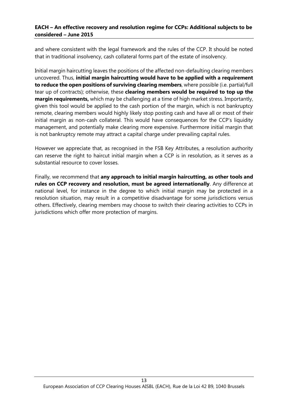and where consistent with the legal framework and the rules of the CCP. It should be noted that in traditional insolvency, cash collateral forms part of the estate of insolvency.

Initial margin haircutting leaves the positions of the affected non-defaulting clearing members uncovered. Thus, **initial margin haircutting would have to be applied with a requirement to reduce the open positions of surviving clearing members**, where possible (i.e. partial/full tear up of contracts); otherwise, these **clearing members would be required to top up the margin requirements,** which may be challenging at a time of high market stress. Importantly, given this tool would be applied to the cash portion of the margin, which is not bankruptcy remote, clearing members would highly likely stop posting cash and have all or most of their initial margin as non-cash collateral. This would have consequences for the CCP's liquidity management, and potentially make clearing more expensive. Furthermore initial margin that is not bankruptcy remote may attract a capital charge under prevailing capital rules.

However we appreciate that, as recognised in the FSB Key Attributes, a resolution authority can reserve the right to haircut initial margin when a CCP is in resolution, as it serves as a substantial resource to cover losses.

Finally, we recommend that **any approach to initial margin haircutting, as other tools and rules on CCP recovery and resolution, must be agreed internationally**. Any difference at national level, for instance in the degree to which initial margin may be protected in a resolution situation, may result in a competitive disadvantage for some jurisdictions versus others. Effectively, clearing members may choose to switch their clearing activities to CCPs in jurisdictions which offer more protection of margins.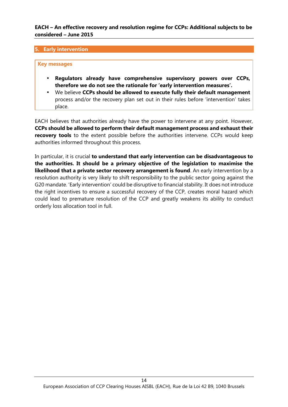## **5. Early intervention**

## **Key messages**

- **Regulators already have comprehensive supervisory powers over CCPs, therefore we do not see the rationale for 'early intervention measures'.**
- We believe **CCPs should be allowed to execute fully their default management** process and/or the recovery plan set out in their rules before 'intervention' takes place.

EACH believes that authorities already have the power to intervene at any point. However, **CCPs should be allowed to perform their default management process and exhaust their recovery tools** to the extent possible before the authorities intervene. CCPs would keep authorities informed throughout this process.

In particular, it is crucial **to understand that early intervention can be disadvantageous to the authorities. It should be a primary objective of the legislation to maximise the likelihood that a private sector recovery arrangement is found**. An early intervention by a resolution authority is very likely to shift responsibility to the public sector going against the G20 mandate. 'Early intervention' could be disruptive to financial stability. It does not introduce the right incentives to ensure a successful recovery of the CCP, creates moral hazard which could lead to premature resolution of the CCP and greatly weakens its ability to conduct orderly loss allocation tool in full.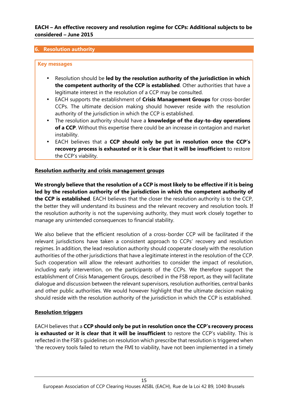## **6. Resolution authority**

## **Key messages**

- Resolution should be **led by the resolution authority of the jurisdiction in which the competent authority of the CCP is established**. Other authorities that have a legitimate interest in the resolution of a CCP may be consulted.
- EACH supports the establishment of **Crisis Management Groups** for cross-border CCPs. The ultimate decision making should however reside with the resolution authority of the jurisdiction in which the CCP is established.
- The resolution authority should have a **knowledge of the day-to-day operations of a CCP**. Without this expertise there could be an increase in contagion and market instability.
- EACH believes that a **CCP should only be put in resolution once the CCP's recovery process is exhausted or it is clear that it will be insufficient** to restore the CCP's viability.

## **Resolution authority and crisis management groups**

**We strongly believe that the resolution of a CCP is most likely to be effective if it is being led by the resolution authority of the jurisdiction in which the competent authority of the CCP is established**. EACH believes that the closer the resolution authority is to the CCP, the better they will understand its business and the relevant recovery and resolution tools. If the resolution authority is not the supervising authority, they must work closely together to manage any unintended consequences to financial stability.

We also believe that the efficient resolution of a cross-border CCP will be facilitated if the relevant jurisdictions have taken a consistent approach to CCPs' recovery and resolution regimes. In addition, the lead resolution authority should cooperate closely with the resolution authorities of the other jurisdictions that have a legitimate interest in the resolution of the CCP. Such cooperation will allow the relevant authorities to consider the impact of resolution, including early intervention, on the participants of the CCPs. We therefore support the establishment of Crisis Management Groups, described in the FSB report, as they will facilitate dialogue and discussion between the relevant supervisors, resolution authorities, central banks and other public authorities. We would however highlight that the ultimate decision making should reside with the resolution authority of the jurisdiction in which the CCP is established.

# **Resolution triggers**

EACH believes that a **CCP should only be put in resolution once the CCP's recovery process is exhausted or it is clear that it will be insufficient** to restore the CCP's viability. This is reflected in the FSB's guidelines on resolution which prescribe that resolution is triggered when 'the recovery tools failed to return the FMI to viability, have not been implemented in a timely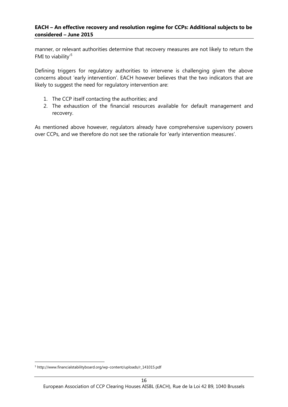manner, or relevant authorities determine that recovery measures are not likely to return the FMI to viability'<sup>5</sup>

Defining triggers for regulatory authorities to intervene is challenging given the above concerns about 'early intervention'. EACH however believes that the two indicators that are likely to suggest the need for regulatory intervention are:

- 1. The CCP itself contacting the authorities; and
- 2. The exhaustion of the financial resources available for default management and recovery.

As mentioned above however, regulators already have comprehensive supervisory powers over CCPs, and we therefore do not see the rationale for 'early intervention measures'.

<sup>5</sup> http://www.financialstabilityboard.org/wp-content/uploads/r\_141015.pdf